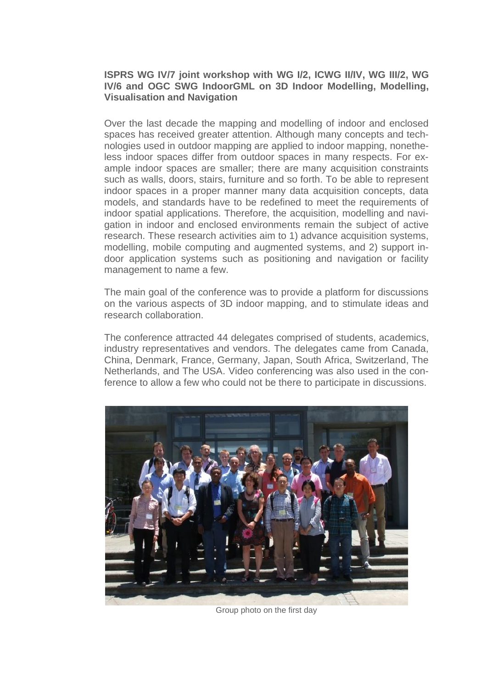# **ISPRS WG IV/7 joint workshop with WG I/2, ICWG II/IV, WG III/2, WG IV/6 and OGC SWG IndoorGML on 3D Indoor Modelling, Modelling, Visualisation and Navigation**

Over the last decade the mapping and modelling of indoor and enclosed spaces has received greater attention. Although many concepts and technologies used in outdoor mapping are applied to indoor mapping, nonetheless indoor spaces differ from outdoor spaces in many respects. For example indoor spaces are smaller; there are many acquisition constraints such as walls, doors, stairs, furniture and so forth. To be able to represent indoor spaces in a proper manner many data acquisition concepts, data models, and standards have to be redefined to meet the requirements of indoor spatial applications. Therefore, the acquisition, modelling and navigation in indoor and enclosed environments remain the subject of active research. These research activities aim to 1) advance acquisition systems, modelling, mobile computing and augmented systems, and 2) support indoor application systems such as positioning and navigation or facility management to name a few.

The main goal of the conference was to provide a platform for discussions on the various aspects of 3D indoor mapping, and to stimulate ideas and research collaboration.

The conference attracted 44 delegates comprised of students, academics, industry representatives and vendors. The delegates came from Canada, China, Denmark, France, Germany, Japan, South Africa, Switzerland, The Netherlands, and The USA. Video conferencing was also used in the conference to allow a few who could not be there to participate in discussions.



Group photo on the first day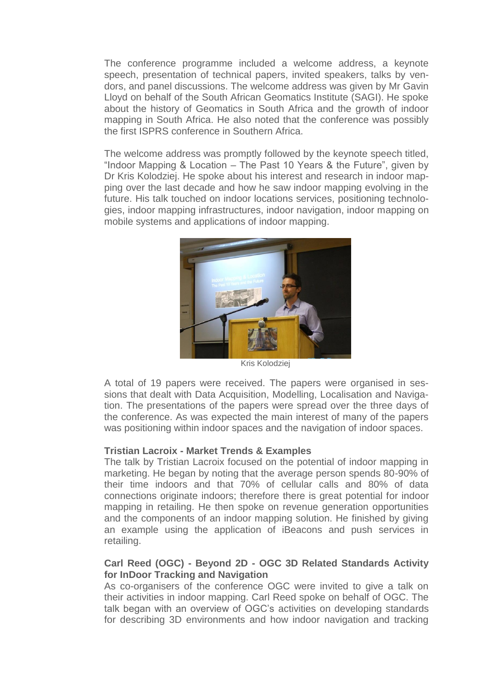The conference programme included a welcome address, a keynote speech, presentation of technical papers, invited speakers, talks by vendors, and panel discussions. The welcome address was given by Mr Gavin Lloyd on behalf of the South African Geomatics Institute (SAGI). He spoke about the history of Geomatics in South Africa and the growth of indoor mapping in South Africa. He also noted that the conference was possibly the first ISPRS conference in Southern Africa.

The welcome address was promptly followed by the keynote speech titled, "Indoor Mapping & Location – The Past 10 Years & the Future", given by Dr Kris Kolodziej. He spoke about his interest and research in indoor mapping over the last decade and how he saw indoor mapping evolving in the future. His talk touched on indoor locations services, positioning technologies, indoor mapping infrastructures, indoor navigation, indoor mapping on mobile systems and applications of indoor mapping.



Kris Kolodziej

A total of 19 papers were received. The papers were organised in sessions that dealt with Data Acquisition, Modelling, Localisation and Navigation. The presentations of the papers were spread over the three days of the conference. As was expected the main interest of many of the papers was positioning within indoor spaces and the navigation of indoor spaces.

#### **Tristian Lacroix - Market Trends & Examples**

The talk by Tristian Lacroix focused on the potential of indoor mapping in marketing. He began by noting that the average person spends 80-90% of their time indoors and that 70% of cellular calls and 80% of data connections originate indoors; therefore there is great potential for indoor mapping in retailing. He then spoke on revenue generation opportunities and the components of an indoor mapping solution. He finished by giving an example using the application of iBeacons and push services in retailing.

### **Carl Reed (OGC) - Beyond 2D - OGC 3D Related Standards Activity for InDoor Tracking and Navigation**

As co-organisers of the conference OGC were invited to give a talk on their activities in indoor mapping. Carl Reed spoke on behalf of OGC. The talk began with an overview of OGC's activities on developing standards for describing 3D environments and how indoor navigation and tracking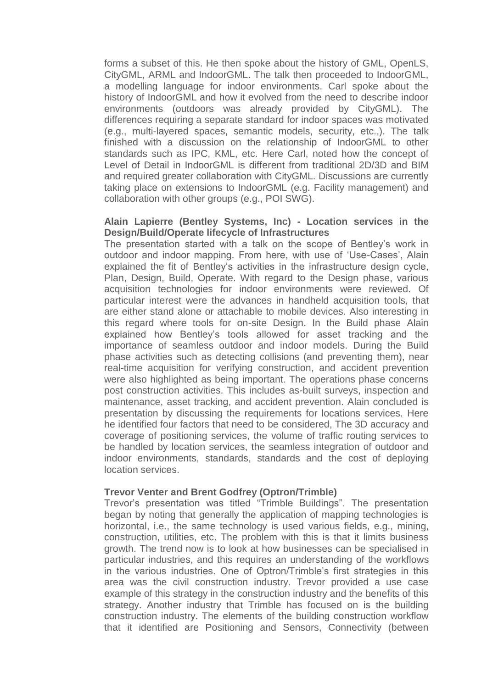forms a subset of this. He then spoke about the history of GML, OpenLS, CityGML, ARML and IndoorGML. The talk then proceeded to IndoorGML, a modelling language for indoor environments. Carl spoke about the history of IndoorGML and how it evolved from the need to describe indoor environments (outdoors was already provided by CityGML). The differences requiring a separate standard for indoor spaces was motivated (e.g., multi-layered spaces, semantic models, security, etc.,). The talk finished with a discussion on the relationship of IndoorGML to other standards such as IPC, KML, etc. Here Carl, noted how the concept of Level of Detail in IndoorGML is different from traditional 2D/3D and BIM and required greater collaboration with CityGML. Discussions are currently taking place on extensions to IndoorGML (e.g. Facility management) and collaboration with other groups (e.g., POI SWG).

### **Alain Lapierre (Bentley Systems, Inc) - Location services in the Design/Build/Operate lifecycle of Infrastructures**

The presentation started with a talk on the scope of Bentley's work in outdoor and indoor mapping. From here, with use of 'Use-Cases', Alain explained the fit of Bentley's activities in the infrastructure design cycle, Plan, Design, Build, Operate. With regard to the Design phase, various acquisition technologies for indoor environments were reviewed. Of particular interest were the advances in handheld acquisition tools, that are either stand alone or attachable to mobile devices. Also interesting in this regard where tools for on-site Design. In the Build phase Alain explained how Bentley's tools allowed for asset tracking and the importance of seamless outdoor and indoor models. During the Build phase activities such as detecting collisions (and preventing them), near real-time acquisition for verifying construction, and accident prevention were also highlighted as being important. The operations phase concerns post construction activities. This includes as-built surveys, inspection and maintenance, asset tracking, and accident prevention. Alain concluded is presentation by discussing the requirements for locations services. Here he identified four factors that need to be considered, The 3D accuracy and coverage of positioning services, the volume of traffic routing services to be handled by location services, the seamless integration of outdoor and indoor environments, standards, standards and the cost of deploying location services.

#### **Trevor Venter and Brent Godfrey (Optron/Trimble)**

Trevor's presentation was titled "Trimble Buildings". The presentation began by noting that generally the application of mapping technologies is horizontal, i.e., the same technology is used various fields, e.g., mining, construction, utilities, etc. The problem with this is that it limits business growth. The trend now is to look at how businesses can be specialised in particular industries, and this requires an understanding of the workflows in the various industries. One of Optron/Trimble's first strategies in this area was the civil construction industry. Trevor provided a use case example of this strategy in the construction industry and the benefits of this strategy. Another industry that Trimble has focused on is the building construction industry. The elements of the building construction workflow that it identified are Positioning and Sensors, Connectivity (between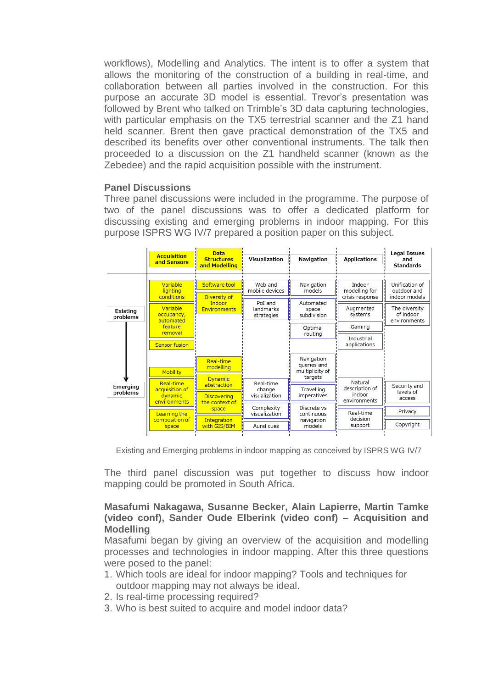workflows), Modelling and Analytics. The intent is to offer a system that allows the monitoring of the construction of a building in real-time, and collaboration between all parties involved in the construction. For this purpose an accurate 3D model is essential. Trevor's presentation was followed by Brent who talked on Trimble's 3D data capturing technologies, with particular emphasis on the TX5 terrestrial scanner and the Z1 hand held scanner. Brent then gave practical demonstration of the TX5 and described its benefits over other conventional instruments. The talk then proceeded to a discussion on the Z1 handheld scanner (known as the Zebedee) and the rapid acquisition possible with the instrument.

### **Panel Discussions**

Three panel discussions were included in the programme. The purpose of two of the panel discussions was to offer a dedicated platform for discussing existing and emerging problems in indoor mapping. For this purpose ISPRS WG IV/7 prepared a position paper on this subject.

| Unification of<br>outdoor and<br>indoor models |
|------------------------------------------------|
| The diversity<br>of indoor<br>environments     |
|                                                |
|                                                |
|                                                |
| Security and                                   |
| levels of<br>access                            |
| Privacy                                        |
| Copyright                                      |
|                                                |

Existing and Emerging problems in indoor mapping as conceived by ISPRS WG IV/7

The third panel discussion was put together to discuss how indoor mapping could be promoted in South Africa.

## **Masafumi Nakagawa, Susanne Becker, Alain Lapierre, Martin Tamke (video conf), Sander Oude Elberink (video conf) – Acquisition and Modelling**

Masafumi began by giving an overview of the acquisition and modelling processes and technologies in indoor mapping. After this three questions were posed to the panel:

- 1. Which tools are ideal for indoor mapping? Tools and techniques for outdoor mapping may not always be ideal.
- 2. Is real-time processing required?
- 3. Who is best suited to acquire and model indoor data?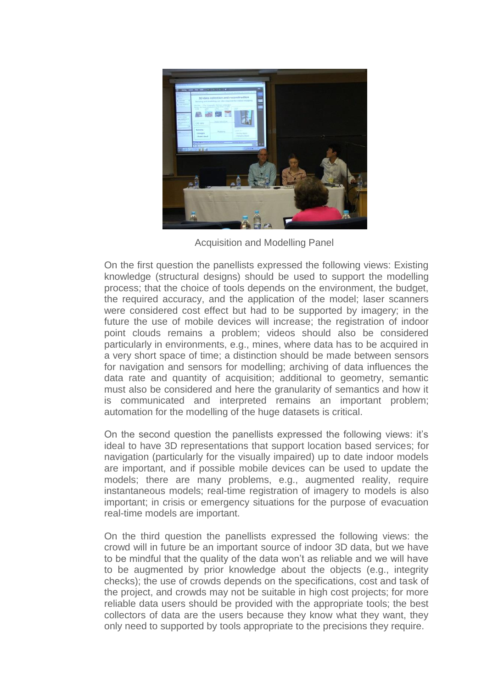

Acquisition and Modelling Panel

On the first question the panellists expressed the following views: Existing knowledge (structural designs) should be used to support the modelling process; that the choice of tools depends on the environment, the budget, the required accuracy, and the application of the model; laser scanners were considered cost effect but had to be supported by imagery; in the future the use of mobile devices will increase; the registration of indoor point clouds remains a problem; videos should also be considered particularly in environments, e.g., mines, where data has to be acquired in a very short space of time; a distinction should be made between sensors for navigation and sensors for modelling; archiving of data influences the data rate and quantity of acquisition; additional to geometry, semantic must also be considered and here the granularity of semantics and how it is communicated and interpreted remains an important problem; automation for the modelling of the huge datasets is critical.

On the second question the panellists expressed the following views: it's ideal to have 3D representations that support location based services; for navigation (particularly for the visually impaired) up to date indoor models are important, and if possible mobile devices can be used to update the models; there are many problems, e.g., augmented reality, require instantaneous models; real-time registration of imagery to models is also important; in crisis or emergency situations for the purpose of evacuation real-time models are important.

On the third question the panellists expressed the following views: the crowd will in future be an important source of indoor 3D data, but we have to be mindful that the quality of the data won't as reliable and we will have to be augmented by prior knowledge about the objects (e.g., integrity checks); the use of crowds depends on the specifications, cost and task of the project, and crowds may not be suitable in high cost projects; for more reliable data users should be provided with the appropriate tools; the best collectors of data are the users because they know what they want, they only need to supported by tools appropriate to the precisions they require.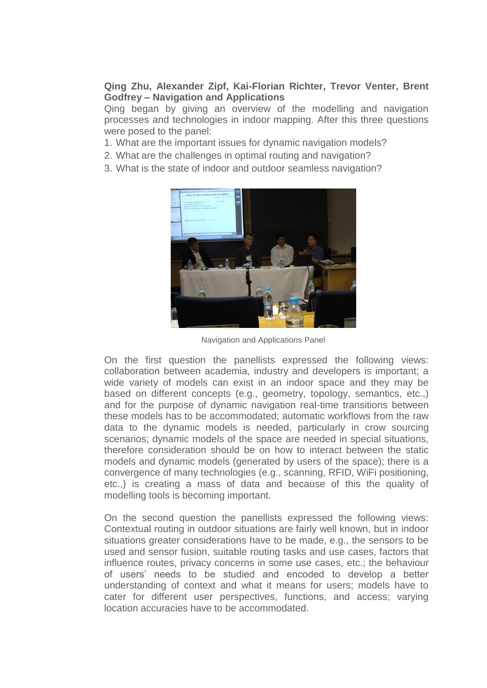**Qing Zhu, Alexander Zipf, Kai-Florian Richter, Trevor Venter, Brent Godfrey – Navigation and Applications**

Qing began by giving an overview of the modelling and navigation processes and technologies in indoor mapping. After this three questions were posed to the panel:

- 1. What are the important issues for dynamic navigation models?
- 2. What are the challenges in optimal routing and navigation?
- 3. What is the state of indoor and outdoor seamless navigation?



Navigation and Applications Panel

On the first question the panellists expressed the following views: collaboration between academia, industry and developers is important; a wide variety of models can exist in an indoor space and they may be based on different concepts (e.g., geometry, topology, semantics, etc.,) and for the purpose of dynamic navigation real-time transitions between these models has to be accommodated; automatic workflows from the raw data to the dynamic models is needed, particularly in crow sourcing scenarios; dynamic models of the space are needed in special situations, therefore consideration should be on how to interact between the static models and dynamic models (generated by users of the space); there is a convergence of many technologies (e.g., scanning, RFID, WiFi positioning, etc.,) is creating a mass of data and because of this the quality of modelling tools is becoming important.

On the second question the panellists expressed the following views: Contextual routing in outdoor situations are fairly well known, but in indoor situations greater considerations have to be made, e.g., the sensors to be used and sensor fusion, suitable routing tasks and use cases, factors that influence routes, privacy concerns in some use cases, etc.; the behaviour of users' needs to be studied and encoded to develop a better understanding of context and what it means for users; models have to cater for different user perspectives, functions, and access; varying location accuracies have to be accommodated.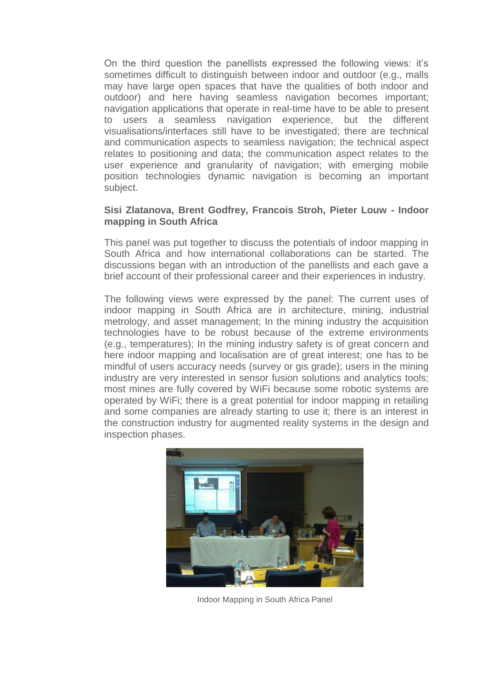On the third question the panellists expressed the following views: it's sometimes difficult to distinguish between indoor and outdoor (e.g., malls may have large open spaces that have the qualities of both indoor and outdoor) and here having seamless navigation becomes important; navigation applications that operate in real-time have to be able to present to users a seamless navigation experience, but the different visualisations/interfaces still have to be investigated; there are technical and communication aspects to seamless navigation; the technical aspect relates to positioning and data; the communication aspect relates to the user experience and granularity of navigation; with emerging mobile position technologies dynamic navigation is becoming an important subject.

### **Sisi Zlatanova, Brent Godfrey, Francois Stroh, Pieter Louw - Indoor mapping in South Africa**

This panel was put together to discuss the potentials of indoor mapping in South Africa and how international collaborations can be started. The discussions began with an introduction of the panellists and each gave a brief account of their professional career and their experiences in industry.

The following views were expressed by the panel: The current uses of indoor mapping in South Africa are in architecture, mining, industrial metrology, and asset management; In the mining industry the acquisition technologies have to be robust because of the extreme environments (e.g., temperatures); In the mining industry safety is of great concern and here indoor mapping and localisation are of great interest; one has to be mindful of users accuracy needs (survey or gis grade); users in the mining industry are very interested in sensor fusion solutions and analytics tools; most mines are fully covered by WiFi because some robotic systems are operated by WiFi; there is a great potential for indoor mapping in retailing and some companies are already starting to use it; there is an interest in the construction industry for augmented reality systems in the design and inspection phases.



Indoor Mapping in South Africa Panel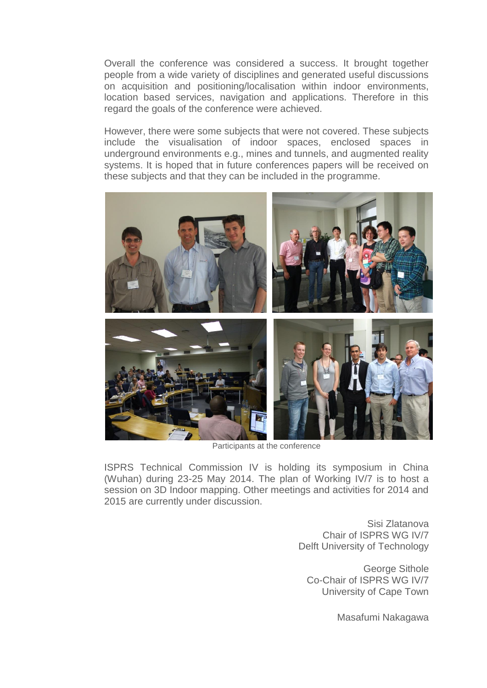Overall the conference was considered a success. It brought together people from a wide variety of disciplines and generated useful discussions on acquisition and positioning/localisation within indoor environments, location based services, navigation and applications. Therefore in this regard the goals of the conference were achieved.

However, there were some subjects that were not covered. These subjects include the visualisation of indoor spaces, enclosed spaces in underground environments e.g., mines and tunnels, and augmented reality systems. It is hoped that in future conferences papers will be received on these subjects and that they can be included in the programme.



Participants at the conference

ISPRS Technical Commission IV is holding its symposium in China (Wuhan) during 23-25 May 2014. The plan of Working IV/7 is to host a session on 3D Indoor mapping. Other meetings and activities for 2014 and 2015 are currently under discussion.

> Sisi Zlatanova Chair of ISPRS WG IV/7 Delft University of Technology

George Sithole Co-Chair of ISPRS WG IV/7 University of Cape Town

Masafumi Nakagawa